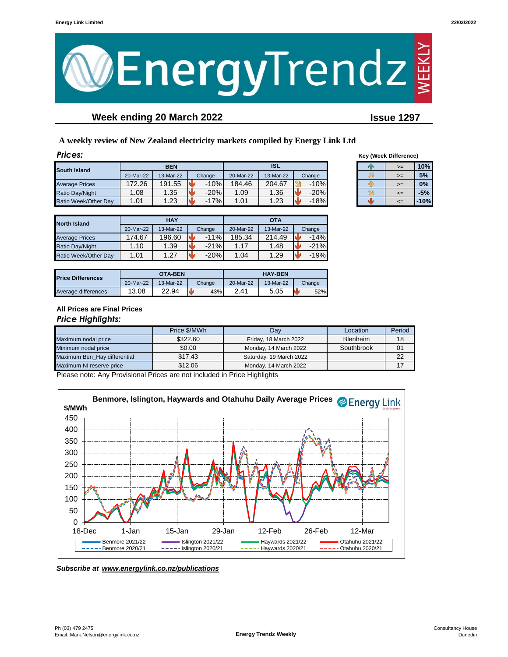

# **Week ending 20 March 2022 Issue 1297**

**A weekly review of New Zealand electricity markets compiled by Energy Link Ltd**

| Prices:               |                          |           |        |           |           |        |  | <b>Key (Week Difference)</b> |        |
|-----------------------|--------------------------|-----------|--------|-----------|-----------|--------|--|------------------------------|--------|
| South Island          | <b>ISL</b><br><b>BEN</b> |           | Þх     | $>=$      | 10%       |        |  |                              |        |
|                       | 20-Mar-22                | 13-Mar-22 | Change | 20-Mar-22 | 13-Mar-22 | Change |  | $>=$                         | 5%     |
| <b>Average Prices</b> | 172.26                   | 191.55    | $-10%$ | 184.46    | 204.67    | $-10%$ |  | $>=$                         | 0%     |
| Ratio Day/Night       | .08                      | 1.35      | $-20%$ | 1.09      | .36       | $-20%$ |  | $\leq$                       | $-5%$  |
| Ratio Week/Other Day  | 1.01                     | 1.23      | $-17%$ | 1.01      | .23       | $-18%$ |  | $\leq$                       | $-10%$ |

| <b>Key (Week Difference)</b> |      |       |  |  |  |  |
|------------------------------|------|-------|--|--|--|--|
|                              | >=   | 10%   |  |  |  |  |
|                              | $>=$ | 5%    |  |  |  |  |
|                              | >=   | 0%    |  |  |  |  |
|                              | <=   | $-5%$ |  |  |  |  |
|                              |      | 10%   |  |  |  |  |

| <b>North Island</b>   |           | <b>HAY</b> |        | <b>OTA</b> |           |        |  |
|-----------------------|-----------|------------|--------|------------|-----------|--------|--|
|                       | 20-Mar-22 | 13-Mar-22  | Change | 20-Mar-22  | 13-Mar-22 | Change |  |
| <b>Average Prices</b> | 174.67    | 196.60     | $-11%$ | 185.34     | 214.49    | $-14%$ |  |
| Ratio Day/Night       | 1.10      | 1.39       | $-21%$ | 1.17       | 1.48      | $-21%$ |  |
| Ratio Week/Other Day  | 1.01      | 1.27       | $-20%$ | 1.04       | 1.29      | $-19%$ |  |

| <b>Price Differences</b> |           | OTA-BEN   |              | <b>HAY-BEN</b> |           |        |  |
|--------------------------|-----------|-----------|--------------|----------------|-----------|--------|--|
|                          | 20-Mar-22 | 13-Mar-22 | Change       | 20-Mar-22      | 13-Mar-22 | Change |  |
| Average differences      | 13.08     | 22.94     | $-43%$<br>ь. | 2.41           | 5.05      | $-52%$ |  |

### **All Prices are Final Prices** *Price Highlights:*

|                              | Price \$/MWh | Location<br>Dav         |                 | Period |
|------------------------------|--------------|-------------------------|-----------------|--------|
| Maximum nodal price          | \$322.60     | Friday, 18 March 2022   | <b>Blenheim</b> | 18     |
| Minimum nodal price          | \$0.00       | Monday, 14 March 2022   | Southbrook      | 01     |
| Maximum Ben Hay differential | \$17.43      | Saturday, 19 March 2022 |                 | 22     |
| Maximum NI reserve price     | \$12.06      | Monday, 14 March 2022   |                 |        |

Please note: Any Provisional Prices are not included in Price Highlights



*Subscribe at www.energylink.co.nz/publications*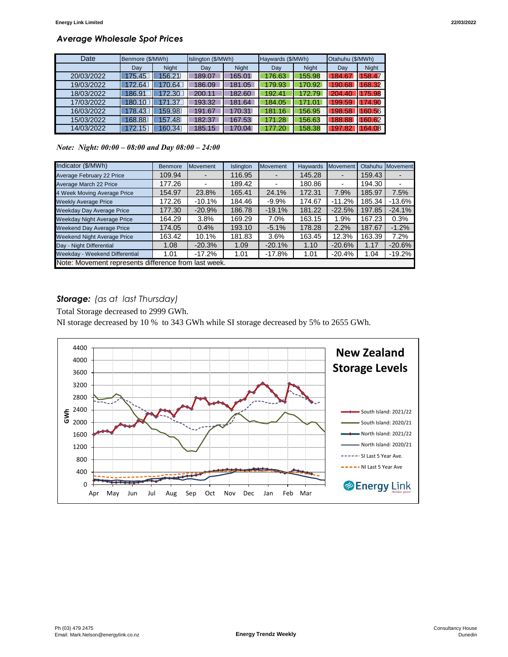## *Average Wholesale Spot Prices*

| Date       | Benmore (\$/MWh) |              | Islington (\$/MWh) |              | Haywards (\$/MWh) |              | Otahuhu (\$/MWh) |              |
|------------|------------------|--------------|--------------------|--------------|-------------------|--------------|------------------|--------------|
|            | Dav              | <b>Night</b> | Day                | <b>Night</b> | Dav               | <b>Night</b> | Day              | <b>Night</b> |
| 20/03/2022 | 175.45           | 156.21       | 189.07             | 165.01       | 176.63            | 155.98       | 184.67           | 158.47       |
| 19/03/2022 | 172.64           | 170.64       | 186.09             | 181.05       | 179.93            | 170.92       | 190.68           | 168.32       |
| 18/03/2022 | 186.91           | 172.30       | 200.11             | 182.60       | 192.41            | 172.79       | 204.40           | 175.98       |
| 17/03/2022 | 180.10           | 171.37       | 193.32             | 181.64       | 184.05            | 171.01       | 199.59           | 174.90       |
| 16/03/2022 | 178.43           | 159.98       | 191.67             | 170.31       | 181.16            | 156.95       | 198.58           | 160.56       |
| 15/03/2022 | 168.88           | 157.48       | 182.37             | 167.53       | 171.28            | 156.63       | 188.88           | 160.62       |
| 14/03/2022 | 172.15           | 160.34       | 185.15             | 170.04       | 177.20            | 158.38       | 197.82           | 164.08       |

*Note: Night: 00:00 – 08:00 and Day 08:00 – 24:00*

| Indicator (\$/MWh)                                   | <b>Benmore</b> | <b>Movement</b> | Islington | <b>Movement</b> | <b>Haywards</b> | <b>Movement</b> | Otahuhu | Movement |
|------------------------------------------------------|----------------|-----------------|-----------|-----------------|-----------------|-----------------|---------|----------|
| Average February 22 Price                            | 109.94         |                 | 116.95    |                 | 145.28          |                 | 159.43  |          |
| Average March 22 Price                               | 177.26         |                 | 189.42    |                 | 180.86          |                 | 194.30  |          |
| 4 Week Moving Average Price                          | 154.97         | 23.8%           | 165.41    | 24.1%           | 172.31          | 7.9%            | 185.97  | 7.5%     |
| <b>Weekly Average Price</b>                          | 172.26         | $-10.1%$        | 184.46    | $-9.9%$         | 174.67          | $-11.2%$        | 185.34  | $-13.6%$ |
| <b>Weekday Day Average Price</b>                     | 177.30         | $-20.9%$        | 186.78    | $-19.1%$        | 181.22          | $-22.5%$        | 197.85  | $-24.1%$ |
| <b>Weekday Night Average Price</b>                   | 164.29         | 3.8%            | 169.29    | 7.0%            | 163.15          | 1.9%            | 167.23  | 0.3%     |
| <b>Weekend Day Average Price</b>                     | 174.05         | 0.4%            | 193.10    | $-5.1%$         | 178.28          | 2.2%            | 187.67  | $-1.2%$  |
| <b>Weekend Night Average Price</b>                   | 163.42         | 10.1%           | 181.83    | 3.6%            | 163.45          | 12.3%           | 163.39  | 7.2%     |
| Day - Night Differential                             | 1.08           | $-20.3%$        | 1.09      | $-20.1%$        | 1.10            | $-20.6%$        | 1.17    | $-20.6%$ |
| Weekday - Weekend Differential                       | 1.01           | $-17.2%$        | 1.01      | $-17.8%$        | 1.01            | $-20.4%$        | 1.04    | $-19.2%$ |
| Note: Movement represents difference from last week. |                |                 |           |                 |                 |                 |         |          |

### *Storage: (as at last Thursday)*

Total Storage decreased to 2999 GWh.

NI storage decreased by 10 % to 343 GWh while SI storage decreased by 5% to 2655 GWh.

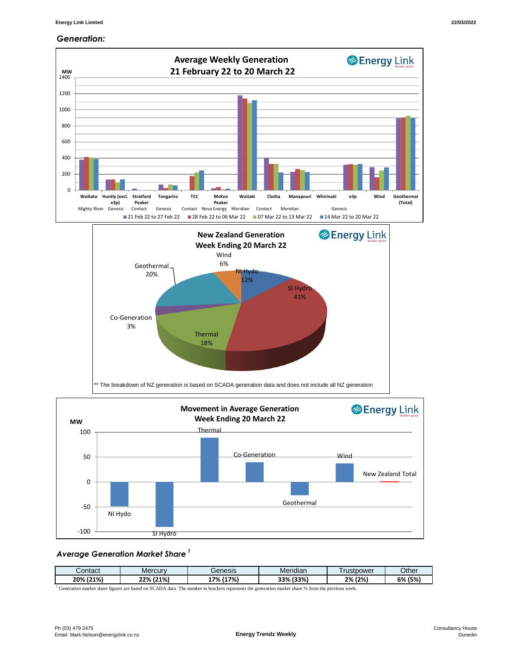#### *Generation:*



#### *Average Generation Market Share <sup>1</sup>*

| Contact | <b>Mercury</b> | Genesis | $\cdots$<br>Meridian | rustpower | Other   |
|---------|----------------|---------|----------------------|-----------|---------|
| (21%)   | (21%)          | (17%)   | (33%)                | (2%)      | 6% (5%) |
| 20%     | 22%            | 7%      | 33%                  | 2%        |         |

<sup>1</sup> Generation market share figures are based on SCADA data. The number in brackets represents the generation market share % from the previous week.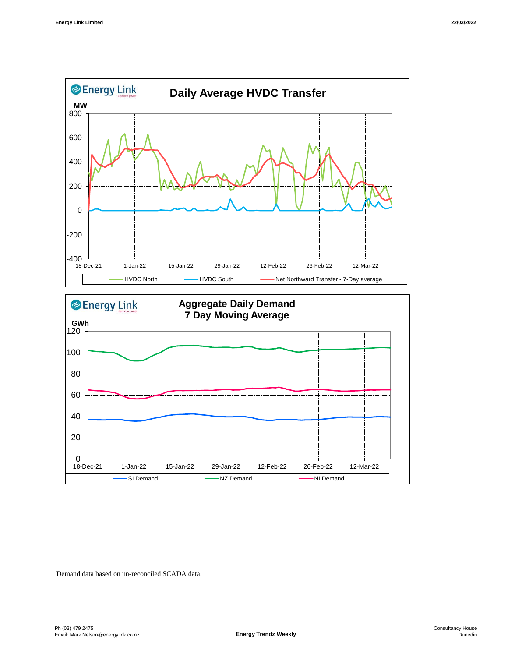



Demand data based on un-reconciled SCADA data.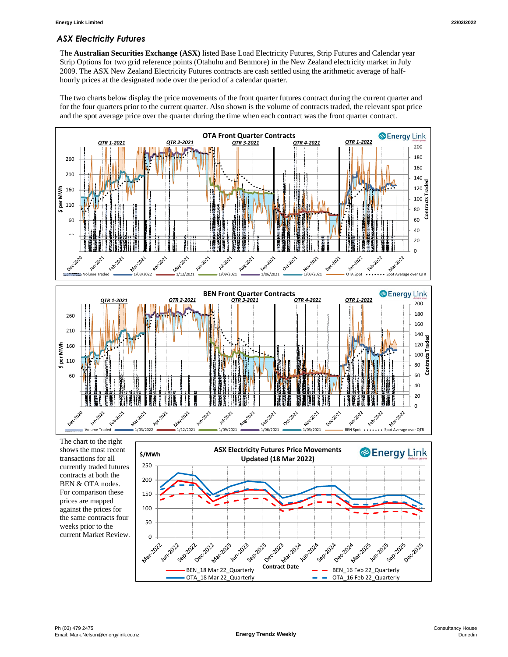## *ASX Electricity Futures*

The **Australian Securities Exchange (ASX)** listed Base Load Electricity Futures, Strip Futures and Calendar year Strip Options for two grid reference points (Otahuhu and Benmore) in the New Zealand electricity market in July 2009. The ASX New Zealand Electricity Futures contracts are cash settled using the arithmetic average of halfhourly prices at the designated node over the period of a calendar quarter.

The two charts below display the price movements of the front quarter futures contract during the current quarter and for the four quarters prior to the current quarter. Also shown is the volume of contracts traded, the relevant spot price and the spot average price over the quarter during the time when each contract was the front quarter contract.



shows the most recent transactions for all currently traded futures contracts at both the BEN & OTA nodes. For comparison these prices are mapped against the prices for the same contracts four weeks prior to the current Market Review.